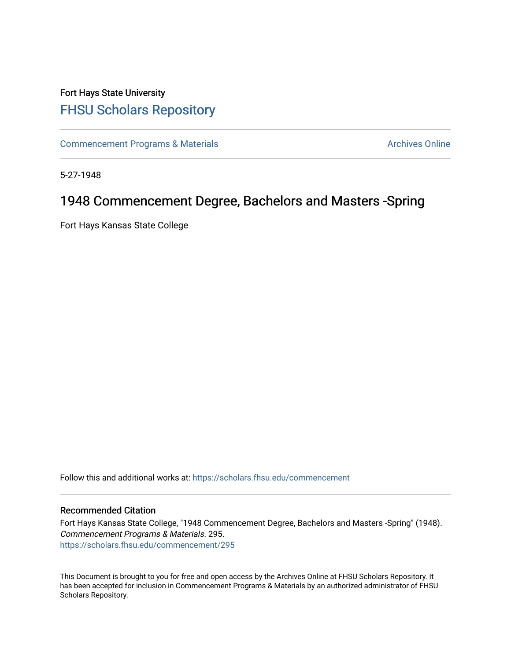## Fort Hays State University [FHSU Scholars Repository](https://scholars.fhsu.edu/)

[Commencement Programs & Materials](https://scholars.fhsu.edu/commencement) **Archives Online** Archives Online

5-27-1948

## 1948 Commencement Degree, Bachelors and Masters -Spring

Fort Hays Kansas State College

Follow this and additional works at: [https://scholars.fhsu.edu/commencement](https://scholars.fhsu.edu/commencement?utm_source=scholars.fhsu.edu%2Fcommencement%2F295&utm_medium=PDF&utm_campaign=PDFCoverPages)

## Recommended Citation

Fort Hays Kansas State College, "1948 Commencement Degree, Bachelors and Masters -Spring" (1948). Commencement Programs & Materials. 295. [https://scholars.fhsu.edu/commencement/295](https://scholars.fhsu.edu/commencement/295?utm_source=scholars.fhsu.edu%2Fcommencement%2F295&utm_medium=PDF&utm_campaign=PDFCoverPages)

This Document is brought to you for free and open access by the Archives Online at FHSU Scholars Repository. It has been accepted for inclusion in Commencement Programs & Materials by an authorized administrator of FHSU Scholars Repository.